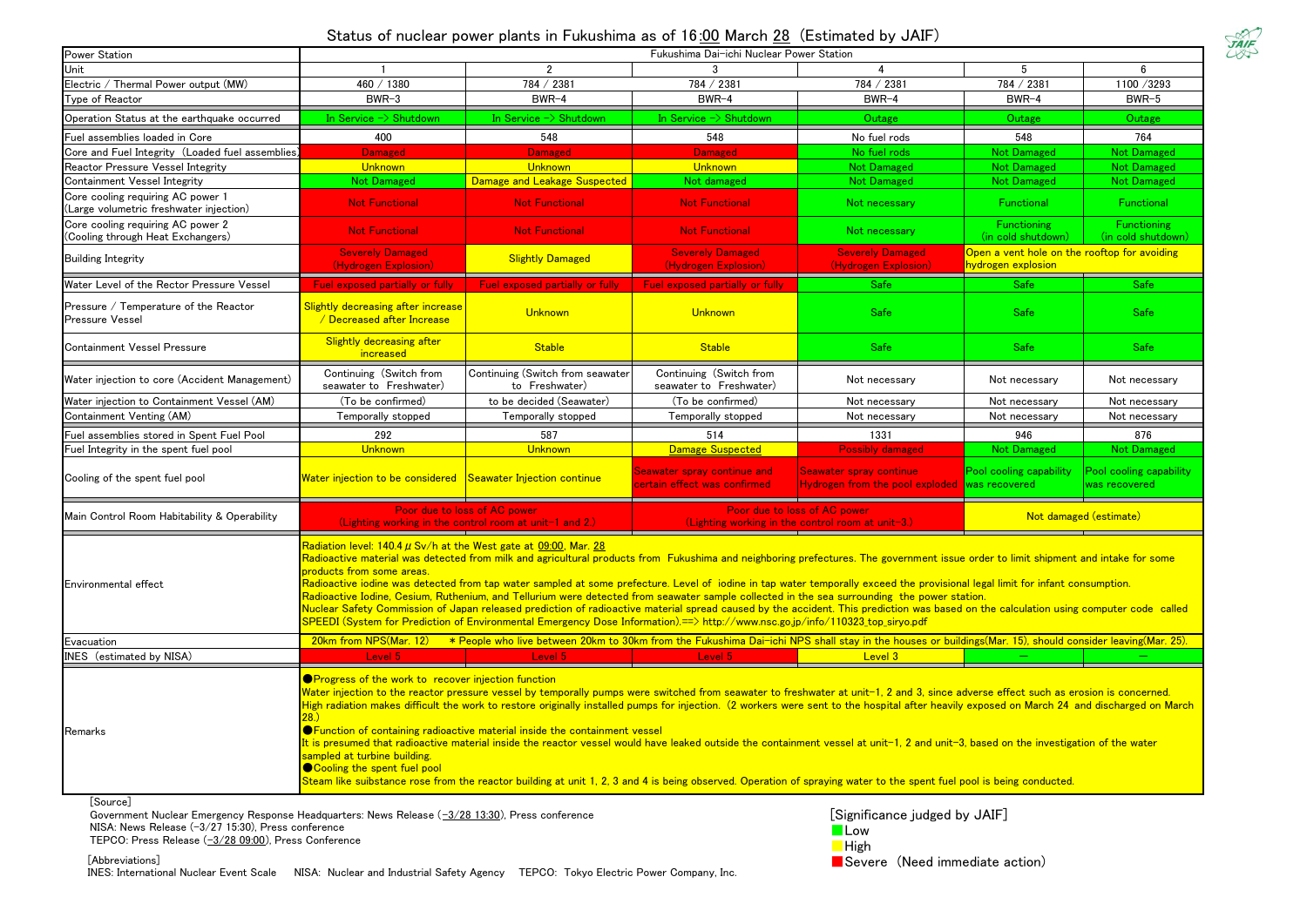## Status of nuclear power plants in Fukushima as of 16:00 March 28 (Estimated by JAIF)

| Power Station                                                                | Fukushima Dai-ichi Nuclear Power Station                                                                                  |                                                                                                                                                                                                                                                                                                                                                                                                                                                                                                                                                                                                                                                                                                                                                                                                                                              |                                                             |                                                                                   |                                                                    |                                          |
|------------------------------------------------------------------------------|---------------------------------------------------------------------------------------------------------------------------|----------------------------------------------------------------------------------------------------------------------------------------------------------------------------------------------------------------------------------------------------------------------------------------------------------------------------------------------------------------------------------------------------------------------------------------------------------------------------------------------------------------------------------------------------------------------------------------------------------------------------------------------------------------------------------------------------------------------------------------------------------------------------------------------------------------------------------------------|-------------------------------------------------------------|-----------------------------------------------------------------------------------|--------------------------------------------------------------------|------------------------------------------|
| Unit                                                                         |                                                                                                                           | 2                                                                                                                                                                                                                                                                                                                                                                                                                                                                                                                                                                                                                                                                                                                                                                                                                                            |                                                             |                                                                                   | 5                                                                  |                                          |
| Electric / Thermal Power output (MW)                                         | 460 / 1380                                                                                                                | 784 / 2381                                                                                                                                                                                                                                                                                                                                                                                                                                                                                                                                                                                                                                                                                                                                                                                                                                   | 784 / 2381                                                  | 784 / 2381                                                                        | 784 / 2381                                                         | 1100 /3293                               |
| Type of Reactor                                                              | $BWR-3$                                                                                                                   | BWR-4                                                                                                                                                                                                                                                                                                                                                                                                                                                                                                                                                                                                                                                                                                                                                                                                                                        | BWR-4                                                       | $BWR-4$                                                                           | BWR-4                                                              | BWR-5                                    |
| Operation Status at the earthquake occurred                                  | In Service -> Shutdown                                                                                                    | In Service $\Rightarrow$ Shutdown                                                                                                                                                                                                                                                                                                                                                                                                                                                                                                                                                                                                                                                                                                                                                                                                            | In Service -> Shutdown                                      | Outage                                                                            | Outage                                                             | Outage                                   |
| Fuel assemblies loaded in Core                                               | 400                                                                                                                       | 548                                                                                                                                                                                                                                                                                                                                                                                                                                                                                                                                                                                                                                                                                                                                                                                                                                          | 548                                                         | No fuel rods                                                                      | 548                                                                | 764                                      |
| Core and Fuel Integrity (Loaded fuel assemblies)                             | <b>Damaged</b>                                                                                                            | <b>Damaged</b>                                                                                                                                                                                                                                                                                                                                                                                                                                                                                                                                                                                                                                                                                                                                                                                                                               | <b>Damaged</b>                                              | No fuel rods                                                                      | <b>Not Damaged</b>                                                 | <b>Not Damaged</b>                       |
| Reactor Pressure Vessel Integrity                                            | Unknown                                                                                                                   | Unknown                                                                                                                                                                                                                                                                                                                                                                                                                                                                                                                                                                                                                                                                                                                                                                                                                                      | <b>Unknown</b>                                              | <b>Not Damaged</b>                                                                | <b>Not Damaged</b>                                                 | <b>Not Damaged</b>                       |
| Containment Vessel Integrity                                                 | <b>Not Damaged</b>                                                                                                        | Damage and Leakage Suspected                                                                                                                                                                                                                                                                                                                                                                                                                                                                                                                                                                                                                                                                                                                                                                                                                 | Not damaged                                                 | <b>Not Damaged</b>                                                                | <b>Not Damaged</b>                                                 | <b>Not Damaged</b>                       |
| Core cooling requiring AC power 1<br>(Large volumetric freshwater injection) | <b>Not Functional</b>                                                                                                     | <b>Not Functional</b>                                                                                                                                                                                                                                                                                                                                                                                                                                                                                                                                                                                                                                                                                                                                                                                                                        | <b>Not Functional</b>                                       | Not necessary                                                                     | Functional                                                         | Functional                               |
| Core cooling requiring AC power 2<br>(Cooling through Heat Exchangers)       | <b>Not Functional</b>                                                                                                     | <b>Not Functional</b>                                                                                                                                                                                                                                                                                                                                                                                                                                                                                                                                                                                                                                                                                                                                                                                                                        | <b>Not Functional</b>                                       | Not necessary                                                                     | Functioning<br>(in cold shutdown)                                  | <b>Functioning</b><br>(in cold shutdown) |
| <b>Building Integrity</b>                                                    | <b>Severely Damaged</b><br>(Hydrogen Explosion)                                                                           | <b>Slightly Damaged</b>                                                                                                                                                                                                                                                                                                                                                                                                                                                                                                                                                                                                                                                                                                                                                                                                                      | <b>Severely Damaged</b><br>(Hydrogen Explosion)             | <b>Severely Damaged</b><br>(Hydrogen Explosion)                                   | Open a vent hole on the rooftop for avoiding<br>hydrogen explosion |                                          |
| Water Level of the Rector Pressure Vessel                                    | <b>Fuel exposed partially or fully</b>                                                                                    | Fuel exposed partially or fully                                                                                                                                                                                                                                                                                                                                                                                                                                                                                                                                                                                                                                                                                                                                                                                                              | Fuel exposed partially or fully                             | Safe                                                                              | Safe                                                               | Safe                                     |
| Pressure / Temperature of the Reactor<br><b>Pressure Vessel</b>              | Slightly decreasing after increase<br>/ Decreased after Increase                                                          | Unknown                                                                                                                                                                                                                                                                                                                                                                                                                                                                                                                                                                                                                                                                                                                                                                                                                                      | Unknown                                                     | <b>Safe</b>                                                                       | <b>Safe</b>                                                        | Safe                                     |
| <b>Containment Vessel Pressure</b>                                           | <b>Slightly decreasing after</b><br>increased                                                                             | <b>Stable</b>                                                                                                                                                                                                                                                                                                                                                                                                                                                                                                                                                                                                                                                                                                                                                                                                                                | <b>Stable</b>                                               | <b>Safe</b>                                                                       | <b>Safe</b>                                                        | Safe                                     |
| Water injection to core (Accident Management)                                | Continuing (Switch from<br>seawater to Freshwater)                                                                        | Continuing (Switch from seawater<br>to Freshwater)                                                                                                                                                                                                                                                                                                                                                                                                                                                                                                                                                                                                                                                                                                                                                                                           | Continuing (Switch from<br>seawater to Freshwater)          | Not necessary                                                                     | Not necessary                                                      | Not necessary                            |
| Water injection to Containment Vessel (AM)                                   | (To be confirmed)                                                                                                         | to be decided (Seawater)                                                                                                                                                                                                                                                                                                                                                                                                                                                                                                                                                                                                                                                                                                                                                                                                                     | (To be confirmed)                                           | Not necessary                                                                     | Not necessary                                                      | Not necessary                            |
| Containment Venting (AM)                                                     | Temporally stopped                                                                                                        | Temporally stopped                                                                                                                                                                                                                                                                                                                                                                                                                                                                                                                                                                                                                                                                                                                                                                                                                           | Temporally stopped                                          | Not necessary                                                                     | Not necessary                                                      | Not necessary                            |
|                                                                              |                                                                                                                           |                                                                                                                                                                                                                                                                                                                                                                                                                                                                                                                                                                                                                                                                                                                                                                                                                                              |                                                             |                                                                                   |                                                                    |                                          |
| Fuel assemblies stored in Spent Fuel Pool                                    | 292                                                                                                                       | 587                                                                                                                                                                                                                                                                                                                                                                                                                                                                                                                                                                                                                                                                                                                                                                                                                                          | 514                                                         | 1331                                                                              | 946                                                                | 876                                      |
| Fuel Integrity in the spent fuel pool                                        | Unknown                                                                                                                   | Unknown                                                                                                                                                                                                                                                                                                                                                                                                                                                                                                                                                                                                                                                                                                                                                                                                                                      | Damage Suspected                                            | <b>Possibly damaged</b>                                                           | Not Damaged                                                        | <b>Not Damaged</b>                       |
| Cooling of the spent fuel pool                                               | Water injection to be considered Seawater Injection continue                                                              |                                                                                                                                                                                                                                                                                                                                                                                                                                                                                                                                                                                                                                                                                                                                                                                                                                              | Seawater spray continue and<br>certain effect was confirmed | <b>Seawater spray continue</b><br>Hydrogen from the pool exploded was recovered   | Pool cooling capability                                            | Pool cooling capability<br>was recovered |
| Main Control Room Habitability & Operability                                 |                                                                                                                           | Poor due to loss of AC power<br>(Lighting working in the control room at unit-1 and 2.)                                                                                                                                                                                                                                                                                                                                                                                                                                                                                                                                                                                                                                                                                                                                                      |                                                             | Poor due to loss of AC power<br>(Lighting working in the control room at unit-3.) |                                                                    | Not damaged (estimate)                   |
| Environmental effect                                                         | Radiation level: 140.4 $\mu$ Sv/h at the West gate at 09:00, Mar. 28<br>products from some areas.                         | Radioactive material was detected from milk and agricultural products from Fukushima and neighboring prefectures. The government issue order to limit shipment and intake for some<br>Radioactive iodine was detected from tap water sampled at some prefecture. Level of iodine in tap water temporally exceed the provisional legal limit for infant consumption.<br>Radioactive Iodine, Cesium, Ruthenium, and Tellurium were detected from seawater sample collected in the sea surrounding the power station.<br>Nuclear Safety Commission of Japan released prediction of radioactive material spread caused by the accident. This prediction was based on the calculation using computer code called<br>SPEEDI (System for Prediction of Environmental Emergency Dose Information).==> http://www.nsc.go.jp/info/110323_top_siryo.pdf |                                                             |                                                                                   |                                                                    |                                          |
| Evacuation                                                                   | 20km from NPS(Mar. 12)                                                                                                    | * People who live between 20km to 30km from the Fukushima Dai-ichi NPS shall stay in the houses or buildings(Mar. 15), should consider leaving(Mar. 25).                                                                                                                                                                                                                                                                                                                                                                                                                                                                                                                                                                                                                                                                                     |                                                             |                                                                                   |                                                                    |                                          |
| INES (estimated by NISA)                                                     | Level 5                                                                                                                   | Level 5                                                                                                                                                                                                                                                                                                                                                                                                                                                                                                                                                                                                                                                                                                                                                                                                                                      | Level 5                                                     | Level 3                                                                           |                                                                    |                                          |
| Remarks<br>[Source]                                                          | <b>OProgress of the work to recover injection function</b><br>sampled at turbine building.<br>Cooling the spent fuel pool | Water injection to the reactor pressure vessel by temporally pumps were switched from seawater to freshwater at unit-1, 2 and 3, since adverse effect such as erosion is concerned.<br>High radiation makes difficult the work to restore originally installed pumps for injection. (2 workers were sent to the hospital after heavily exposed on March 24 and discharged on March<br><b>OFunction of containing radioactive material inside the containment vessel</b><br>It is presumed that radioactive material inside the reactor vessel would have leaked outside the containment vessel at unit-1, 2 and unit-3, based on the investigation of the water<br>Steam like suibstance rose from the reactor building at unit 1, 2, 3 and 4 is being observed. Operation of spraying water to the spent fuel pool is being conducted.      |                                                             |                                                                                   |                                                                    |                                          |

Government Nuclear Emergency Response Headquarters: News Release  $(-3/28\ 13:30)$ , Press conference

NISA: News Release (-3/27 15:30), Press conference

TEPCO: Press Release (-3/28 09:00), Press Conference



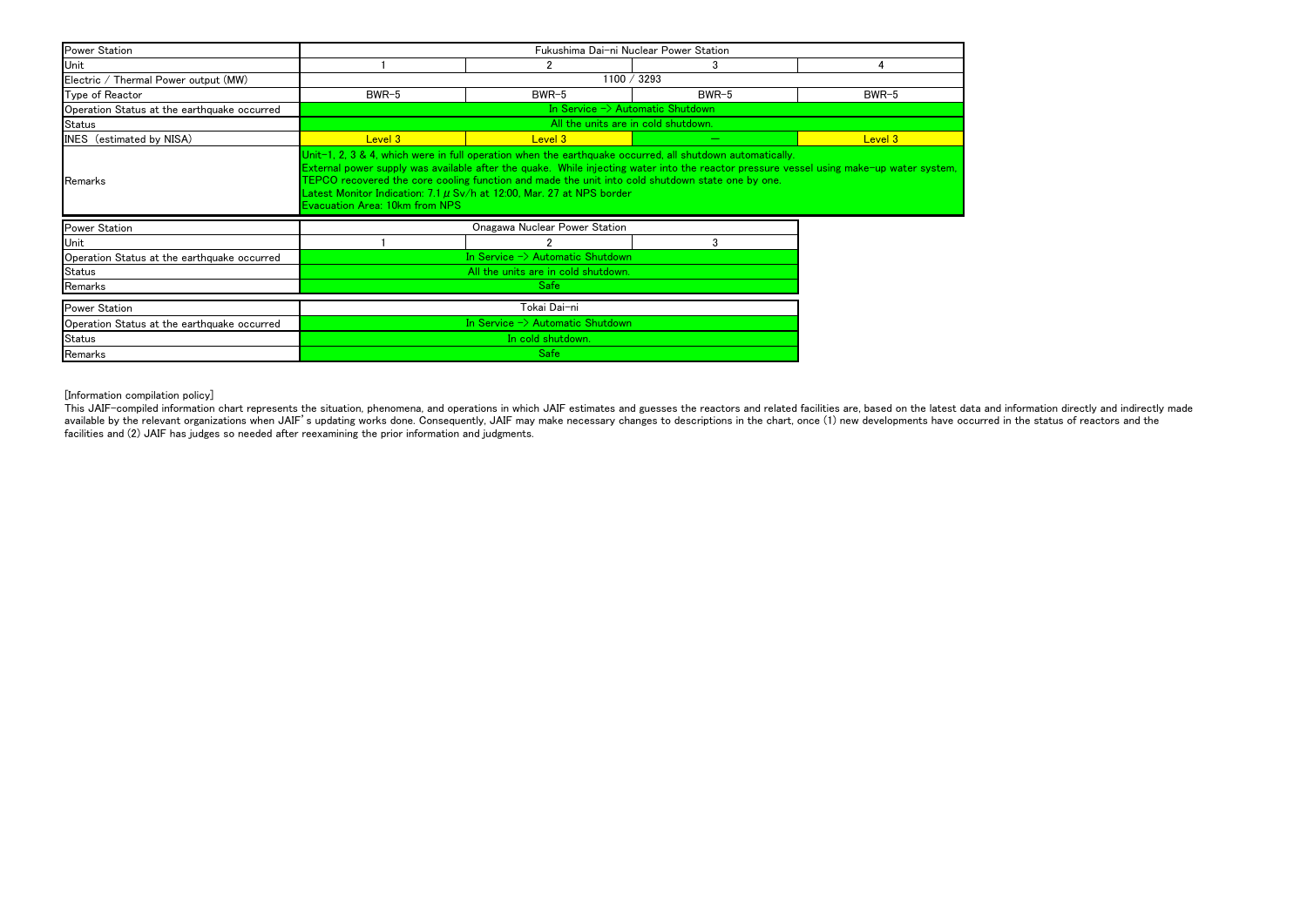[Information compilation policy]

This JAIF-compiled information chart represents the situation, phenomena, and operations in which JAIF estimates and guesses the reactors and related facilities are, based on the latest data and information directly and in available by the relevant organizations when JAIF's updating works done. Consequently, JAIF may make necessary changes to descriptions in the chart, once (1) new developments have occurred in the status of reactors and the facilities and (2) JAIF has judges so needed after reexamining the prior information and judgments.

| <b>Power Station</b>                        | Fukushima Dai-ni Nuclear Power Station                                                                                                                                                                                                                                                                                                                                                                                                                                        |                               |         |         |  |
|---------------------------------------------|-------------------------------------------------------------------------------------------------------------------------------------------------------------------------------------------------------------------------------------------------------------------------------------------------------------------------------------------------------------------------------------------------------------------------------------------------------------------------------|-------------------------------|---------|---------|--|
| Unit                                        |                                                                                                                                                                                                                                                                                                                                                                                                                                                                               |                               | 3       | 4       |  |
| Electric / Thermal Power output (MW)        | 1100 / 3293                                                                                                                                                                                                                                                                                                                                                                                                                                                                   |                               |         |         |  |
| Type of Reactor                             | $BWR-5$                                                                                                                                                                                                                                                                                                                                                                                                                                                                       | $BWR-5$                       | $BWR-5$ | $BWR-5$ |  |
| Operation Status at the earthquake occurred | In Service $\rightarrow$ Automatic Shutdown                                                                                                                                                                                                                                                                                                                                                                                                                                   |                               |         |         |  |
| <b>Status</b>                               | All the units are in cold shutdown.                                                                                                                                                                                                                                                                                                                                                                                                                                           |                               |         |         |  |
| INES (estimated by NISA)                    | Level 3                                                                                                                                                                                                                                                                                                                                                                                                                                                                       | Level 3                       |         | Level 3 |  |
| Remarks                                     | Unit-1, 2, 3 & 4, which were in full operation when the earthquake occurred, all shutdown automatically.<br>External power supply was available after the quake. While injecting water into the reactor pressure vessel using make-up water system,<br>TEPCO recovered the core cooling function and made the unit into cold shutdown state one by one.<br>Latest Monitor Indication: 7.1 $\mu$ Sv/h at 12:00, Mar. 27 at NPS border<br><b>Evacuation Area: 10km from NPS</b> |                               |         |         |  |
| <b>Power Station</b>                        |                                                                                                                                                                                                                                                                                                                                                                                                                                                                               | Onagawa Nuclear Power Station |         |         |  |
| Unit                                        |                                                                                                                                                                                                                                                                                                                                                                                                                                                                               |                               | 3       |         |  |
| Operation Status at the earthquake occurred | In Service $\rightarrow$ Automatic Shutdown                                                                                                                                                                                                                                                                                                                                                                                                                                   |                               |         |         |  |
| <b>Status</b>                               | All the units are in cold shutdown.                                                                                                                                                                                                                                                                                                                                                                                                                                           |                               |         |         |  |
| Remarks                                     | <b>Safe</b>                                                                                                                                                                                                                                                                                                                                                                                                                                                                   |                               |         |         |  |
| <b>Power Station</b>                        | Tokai Dai−ni                                                                                                                                                                                                                                                                                                                                                                                                                                                                  |                               |         |         |  |
| Operation Status at the earthquake occurred | In Service $\rightarrow$ Automatic Shutdown                                                                                                                                                                                                                                                                                                                                                                                                                                   |                               |         |         |  |
| <b>Status</b>                               | In cold shutdown.                                                                                                                                                                                                                                                                                                                                                                                                                                                             |                               |         |         |  |
| Remarks                                     | <b>Safe</b>                                                                                                                                                                                                                                                                                                                                                                                                                                                                   |                               |         |         |  |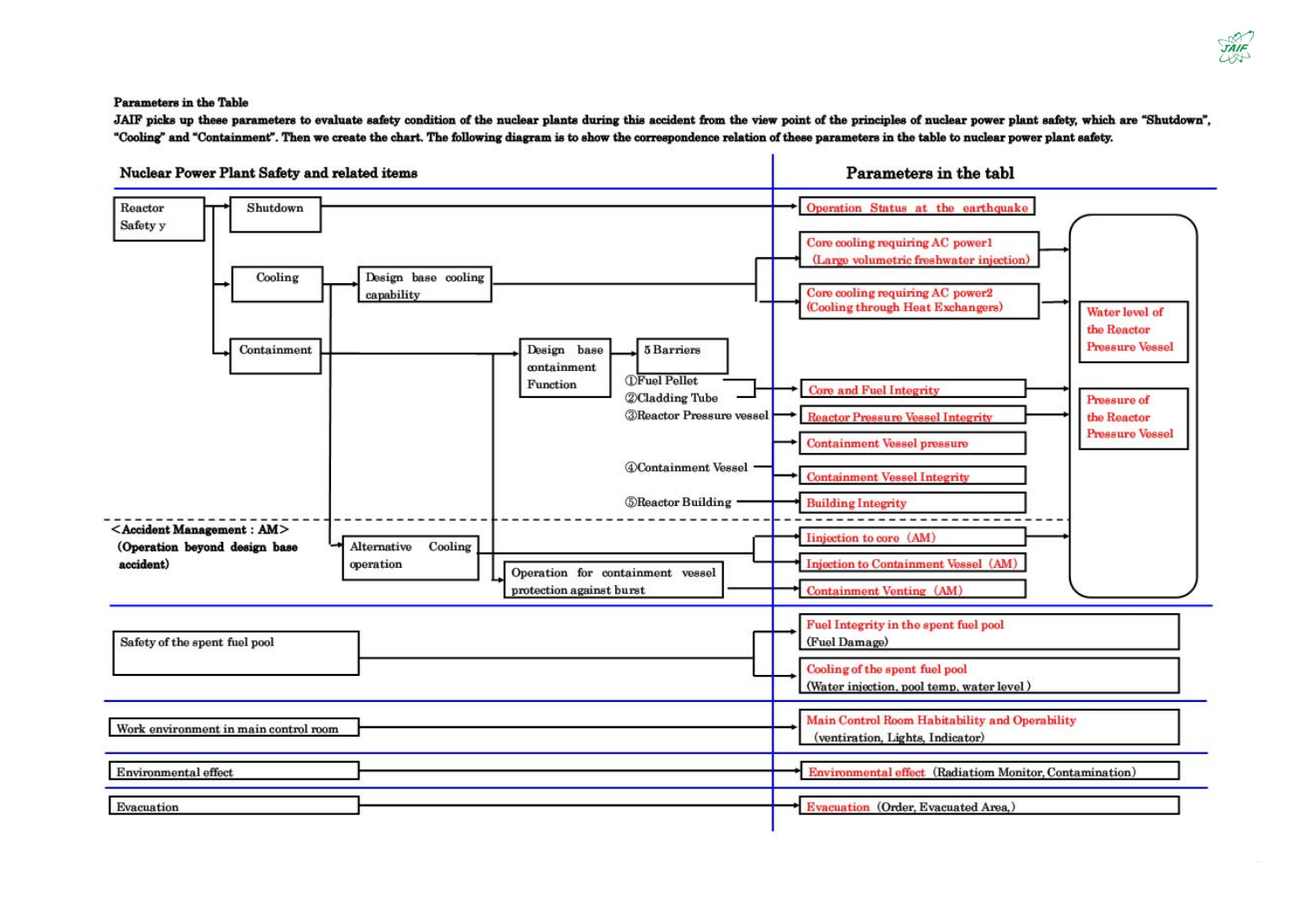**Parameters in the Table** 

JAIF picks up these parameters to evaluate safety condition of the nuclear plants during this accident from the view point of the principles of nuclear power plant safety, which are "Shutdown", "Cooling" and "Containment". Then we create the chart. The following diagram is to show the correspondence relation of these parameters in the table to nuclear power plant safety.



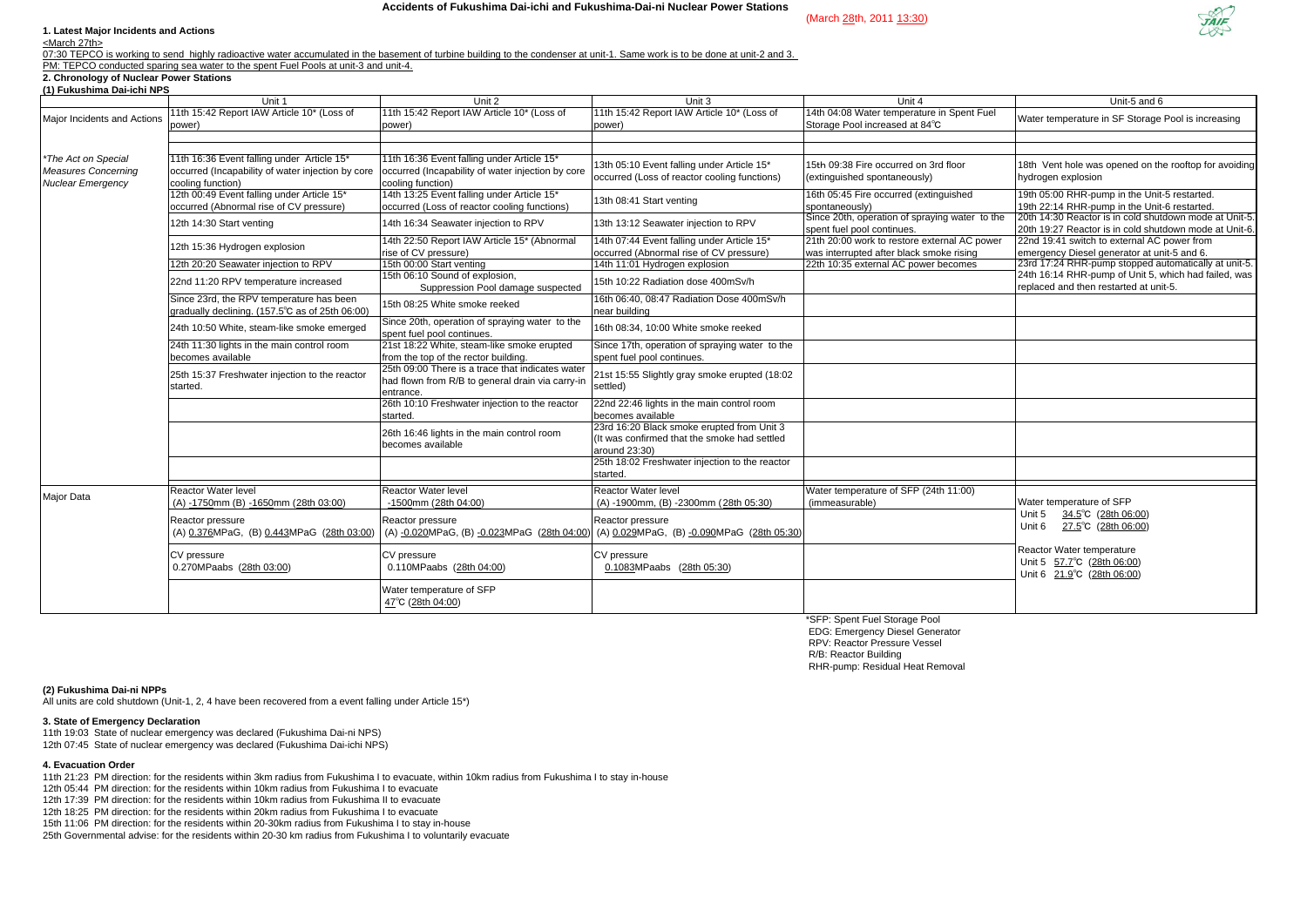#### **1. Latest Major Incidents and Actions**

<March 27th>

07:30 TEPCO is working to send highly radioactive water accumulated in the basement of turbine building to the condenser at unit-1. Same work is to be done at unit-2 and 3. PM: TEPCO conducted sparing sea water to the spent Fuel Pools at unit-3 and unit-4.

## **2. Chronology of Nuclear Power Stations**

|     | Unit-5 and 6                                                                                           |
|-----|--------------------------------------------------------------------------------------------------------|
| ıel | Water temperature in SF Storage Pool is increasing                                                     |
|     |                                                                                                        |
|     |                                                                                                        |
|     |                                                                                                        |
|     | 18th Vent hole was opened on the rooftop for avoiding                                                  |
|     | hydrogen explosion                                                                                     |
|     | 19th 05:00 RHR-pump in the Unit-5 restarted.                                                           |
|     | 19th 22:14 RHR-pump in the Unit-6 restarted.<br>20th 14:30 Reactor is in cold shutdown mode at Unit-5. |
| the |                                                                                                        |
|     | 20th 19:27 Reactor is in cold shutdown mode at Unit-6.                                                 |
| wer | 22nd 19:41 switch to external AC power from                                                            |
|     | emergency Diesel generator at unit-5 and 6.<br>23rd 17:24 RHR-pump stopped automatically at unit-5.    |
|     | 24th 16:14 RHR-pump of Unit 5, which had failed, was                                                   |
|     | replaced and then restarted at unit-5.                                                                 |
|     |                                                                                                        |
|     |                                                                                                        |
|     |                                                                                                        |
|     |                                                                                                        |
|     |                                                                                                        |
|     |                                                                                                        |
|     |                                                                                                        |
|     |                                                                                                        |
|     |                                                                                                        |
|     |                                                                                                        |
|     |                                                                                                        |
|     |                                                                                                        |
|     |                                                                                                        |
|     |                                                                                                        |
|     |                                                                                                        |
|     | Water temperature of SFP                                                                               |
|     | Unit 5<br>34.5°C (28th 06:00)                                                                          |
|     | Unit 6 27.5°C (28th 06:00)                                                                             |
|     |                                                                                                        |
|     | Reactor Water temperature                                                                              |
|     | Unit 5 57.7°C (28th 06:00)                                                                             |
|     | Unit 6 21.9°C (28th 06:00)                                                                             |
|     |                                                                                                        |
|     |                                                                                                        |
|     |                                                                                                        |

| (1) Fukushima Dai-ichi NPS                                                    | Unit 1                                                                                      | Unit 2                                                                                                                                                                   | Unit 3                                                                                                      | Unit 4                                                                                   | Unit-5 and 6                                                                                                    |
|-------------------------------------------------------------------------------|---------------------------------------------------------------------------------------------|--------------------------------------------------------------------------------------------------------------------------------------------------------------------------|-------------------------------------------------------------------------------------------------------------|------------------------------------------------------------------------------------------|-----------------------------------------------------------------------------------------------------------------|
|                                                                               | 11th 15:42 Report IAW Article 10* (Loss of                                                  | 11th 15:42 Report IAW Article 10* (Loss of                                                                                                                               | 11th 15:42 Report IAW Article 10* (Loss of                                                                  | 14th 04:08 Water temperature in Spent Fuel                                               |                                                                                                                 |
| Major Incidents and Actions                                                   | power)                                                                                      | power)                                                                                                                                                                   | power)                                                                                                      | Storage Pool increased at 84°C                                                           | Water temperature in SF Storage Pool is increasing                                                              |
| *The Act on Special<br><b>Measures Concerning</b><br><b>Nuclear Emergency</b> | 11th 16:36 Event falling under Article 15*<br>cooling function)                             | 11th 16:36 Event falling under Article 15*<br>occurred (Incapability of water injection by core   occurred (Incapability of water injection by core<br>cooling function) | 13th 05:10 Event falling under Article 15*<br>occurred (Loss of reactor cooling functions)                  | 15th 09:38 Fire occurred on 3rd floor<br>(extinguished spontaneously)                    | 18th Vent hole was opened on the rooftop for avoiding<br>hydrogen explosion                                     |
|                                                                               | 12th 00:49 Event falling under Article 15*<br>occurred (Abnormal rise of CV pressure)       | 14th 13:25 Event falling under Article 15*<br>occurred (Loss of reactor cooling functions)                                                                               | 13th 08:41 Start venting                                                                                    | 16th 05:45 Fire occurred (extinguished<br>spontaneously)                                 | 19th 05:00 RHR-pump in the Unit-5 restarted.<br>19th 22:14 RHR-pump in the Unit-6 restarted.                    |
|                                                                               | 12th 14:30 Start venting                                                                    | 14th 16:34 Seawater injection to RPV                                                                                                                                     | 13th 13:12 Seawater injection to RPV                                                                        | Since 20th, operation of spraying water to the<br>spent fuel pool continues.             | 20th 14:30 Reactor is in cold shutdown mode at Unit-5<br>20th 19:27 Reactor is in cold shutdown mode at Unit-6. |
|                                                                               | 12th 15:36 Hydrogen explosion                                                               | 14th 22:50 Report IAW Article 15* (Abnormal<br>rise of CV pressure)                                                                                                      | 14th 07:44 Event falling under Article 15*<br>occurred (Abnormal rise of CV pressure)                       | 21th 20:00 work to restore external AC power<br>was interrupted after black smoke rising | 22nd 19:41 switch to external AC power from<br>emergency Diesel generator at unit-5 and 6.                      |
|                                                                               | 12th 20:20 Seawater injection to RPV                                                        | 15th 00:00 Start venting                                                                                                                                                 | 14th 11:01 Hydrogen explosion                                                                               | 22th 10:35 external AC power becomes                                                     | 23rd 17:24 RHR-pump stopped automatically at unit-5.                                                            |
|                                                                               | 22nd 11:20 RPV temperature increased                                                        | 15th 06:10 Sound of explosion,<br>Suppression Pool damage suspected                                                                                                      | 15th 10:22 Radiation dose 400mSv/h                                                                          |                                                                                          | 24th 16:14 RHR-pump of Unit 5, which had failed, was<br>replaced and then restarted at unit-5.                  |
|                                                                               | Since 23rd, the RPV temperature has been<br>gradually declining. (157.5°C as of 25th 06:00) | 15th 08:25 White smoke reeked                                                                                                                                            | 16th 06:40, 08:47 Radiation Dose 400mSv/h<br>near building                                                  |                                                                                          |                                                                                                                 |
|                                                                               | 24th 10:50 White, steam-like smoke emerged                                                  | Since 20th, operation of spraying water to the<br>spent fuel pool continues.                                                                                             | 16th 08:34, 10:00 White smoke reeked                                                                        |                                                                                          |                                                                                                                 |
|                                                                               | 24th 11:30 lights in the main control room<br>becomes available                             | 21st 18:22 White, steam-like smoke erupted<br>from the top of the rector building.                                                                                       | Since 17th, operation of spraying water to the<br>spent fuel pool continues.                                |                                                                                          |                                                                                                                 |
|                                                                               | 25th 15:37 Freshwater injection to the reactor<br>started.                                  | 25th 09:00 There is a trace that indicates water<br>had flown from R/B to general drain via carry-in<br>entrance.                                                        | 21st 15:55 Slightly gray smoke erupted (18:02<br>settled)                                                   |                                                                                          |                                                                                                                 |
|                                                                               |                                                                                             | 26th 10:10 Freshwater injection to the reactor<br>started.                                                                                                               | 22nd 22:46 lights in the main control room<br>becomes available                                             |                                                                                          |                                                                                                                 |
|                                                                               |                                                                                             | 26th 16:46 lights in the main control room<br>becomes available                                                                                                          | 23rd 16:20 Black smoke erupted from Unit 3<br>(It was confirmed that the smoke had settled<br>around 23:30) |                                                                                          |                                                                                                                 |
|                                                                               |                                                                                             |                                                                                                                                                                          | 25th 18:02 Freshwater injection to the reactor<br>started.                                                  |                                                                                          |                                                                                                                 |
| Major Data                                                                    | Reactor Water level<br>(A) -1750mm (B) -1650mm (28th 03:00)                                 | Reactor Water level<br>-1500mm (28th 04:00)                                                                                                                              | <b>Reactor Water level</b><br>(A) -1900mm, (B) -2300mm (28th 05:30)                                         | Water temperature of SFP (24th 11:00)<br>(immeasurable)                                  | Water temperature of SFP                                                                                        |
|                                                                               | Reactor pressure<br>(A) 0.376MPaG, (B) 0.443MPaG (28th 03:00                                | Reactor pressure<br>(A) -0.020MPaG, (B) -0.023MPaG (28th 04:00)                                                                                                          | Reactor pressure<br>(A) 0.029MPaG, (B) -0.090MPaG (28th 05:30)                                              |                                                                                          | $34.5^{\circ}$ C (28th 06:00)<br>Unit 5<br>Unit 6<br>27.5°C (28th 06:00)                                        |
|                                                                               | CV pressure<br>0.270MPaabs (28th 03:00)                                                     | CV pressure<br>0.110MPaabs (28th 04:00)                                                                                                                                  | CV pressure<br>0.1083MPaabs (28th 05:30)                                                                    |                                                                                          | Reactor Water temperature<br>Unit 5 57.7°C (28th 06:00)<br>Unit 6 21.9°C (28th 06:00)                           |
|                                                                               |                                                                                             | Water temperature of SFP<br>47°C (28th 04:00)                                                                                                                            |                                                                                                             |                                                                                          |                                                                                                                 |
|                                                                               |                                                                                             |                                                                                                                                                                          |                                                                                                             | $*$ OED. On successing the second state                                                  |                                                                                                                 |

\*SFP: Spent Fuel Storage Pool EDG: Emergency Diesel Generator RPV: Reactor Pressure Vessel R/B: Reactor Building RHR-pump: Residual Heat Removal

**(2) Fukushima Dai-ni NPPs**

All units are cold shutdown (Unit-1, 2, 4 have been recovered from a event falling under Article 15\*)

### **3. State of Emergency Declaration**

11th 19:03 State of nuclear emergency was declared (Fukushima Dai-ni NPS) 12th 07:45 State of nuclear emergency was declared (Fukushima Dai-ichi NPS)

#### **4. Evacuation Order**

11th 21:23 PM direction: for the residents within 3km radius from Fukushima I to evacuate, within 10km radius from Fukushima I to stay in-house

12th 05:44 PM direction: for the residents within 10km radius from Fukushima I to evacuate

12th 17:39 PM direction: for the residents within 10km radius from Fukushima II to evacuate

12th 18:25 PM direction: for the residents within 20km radius from Fukushima I to evacuate

15th 11:06 PM direction: for the residents within 20-30km radius from Fukushima I to stay in-house

25th Governmental advise: for the residents within 20-30 km radius from Fukushima I to voluntarily evacuate